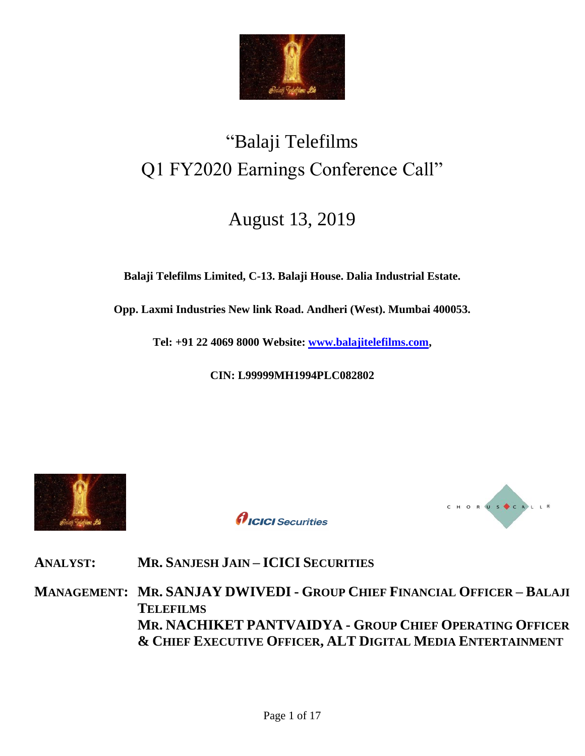

# "Balaji Telefilms Q1 FY2020 Earnings Conference Call"

## August 13, 2019

**Balaji Telefilms Limited, C-13. Balaji House. Dalia Industrial Estate.**

**Opp. Laxmi Industries New link Road. Andheri (West). Mumbai 400053.**

**Tel: +91 22 4069 8000 Website: [www.balajitelefilms.com,](http://www.balajitelefilms.com/)**

**CIN: L99999MH1994PLC082802**



*AICICI* Securities



**ANALYST: MR. SANJESH JAIN – ICICI SECURITIES** 

**MANAGEMENT: MR. SANJAY DWIVEDI - GROUP CHIEF FINANCIAL OFFICER – BALAJI TELEFILMS MR. NACHIKET PANTVAIDYA - GROUP CHIEF OPERATING OFFICER & CHIEF EXECUTIVE OFFICER, ALT DIGITAL MEDIA ENTERTAINMENT**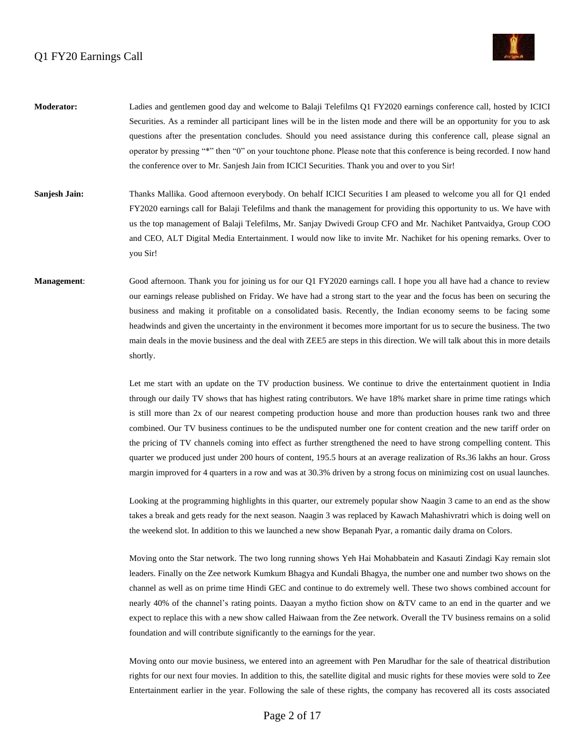

- **Moderator:** Ladies and gentlemen good day and welcome to Balaji Telefilms Q1 FY2020 earnings conference call, hosted by ICICI Securities. As a reminder all participant lines will be in the listen mode and there will be an opportunity for you to ask questions after the presentation concludes. Should you need assistance during this conference call, please signal an operator by pressing "\*" then "0" on your touchtone phone. Please note that this conference is being recorded. I now hand the conference over to Mr. Sanjesh Jain from ICICI Securities. Thank you and over to you Sir!
- **Sanjesh Jain:** Thanks Mallika. Good afternoon everybody. On behalf ICICI Securities I am pleased to welcome you all for Q1 ended FY2020 earnings call for Balaji Telefilms and thank the management for providing this opportunity to us. We have with us the top management of Balaji Telefilms, Mr. Sanjay Dwivedi Group CFO and Mr. Nachiket Pantvaidya, Group COO and CEO, ALT Digital Media Entertainment. I would now like to invite Mr. Nachiket for his opening remarks. Over to you Sir!
- **Management:** Good afternoon. Thank you for joining us for our Q1 FY2020 earnings call. I hope you all have had a chance to review our earnings release published on Friday. We have had a strong start to the year and the focus has been on securing the business and making it profitable on a consolidated basis. Recently, the Indian economy seems to be facing some headwinds and given the uncertainty in the environment it becomes more important for us to secure the business. The two main deals in the movie business and the deal with ZEE5 are steps in this direction. We will talk about this in more details shortly.

Let me start with an update on the TV production business. We continue to drive the entertainment quotient in India through our daily TV shows that has highest rating contributors. We have 18% market share in prime time ratings which is still more than 2x of our nearest competing production house and more than production houses rank two and three combined. Our TV business continues to be the undisputed number one for content creation and the new tariff order on the pricing of TV channels coming into effect as further strengthened the need to have strong compelling content. This quarter we produced just under 200 hours of content, 195.5 hours at an average realization of Rs.36 lakhs an hour. Gross margin improved for 4 quarters in a row and was at 30.3% driven by a strong focus on minimizing cost on usual launches.

Looking at the programming highlights in this quarter, our extremely popular show Naagin 3 came to an end as the show takes a break and gets ready for the next season. Naagin 3 was replaced by Kawach Mahashivratri which is doing well on the weekend slot. In addition to this we launched a new show Bepanah Pyar, a romantic daily drama on Colors.

Moving onto the Star network. The two long running shows Yeh Hai Mohabbatein and Kasauti Zindagi Kay remain slot leaders. Finally on the Zee network Kumkum Bhagya and Kundali Bhagya, the number one and number two shows on the channel as well as on prime time Hindi GEC and continue to do extremely well. These two shows combined account for nearly 40% of the channel's rating points. Daayan a mytho fiction show on &TV came to an end in the quarter and we expect to replace this with a new show called Haiwaan from the Zee network. Overall the TV business remains on a solid foundation and will contribute significantly to the earnings for the year.

Moving onto our movie business, we entered into an agreement with Pen Marudhar for the sale of theatrical distribution rights for our next four movies. In addition to this, the satellite digital and music rights for these movies were sold to Zee Entertainment earlier in the year. Following the sale of these rights, the company has recovered all its costs associated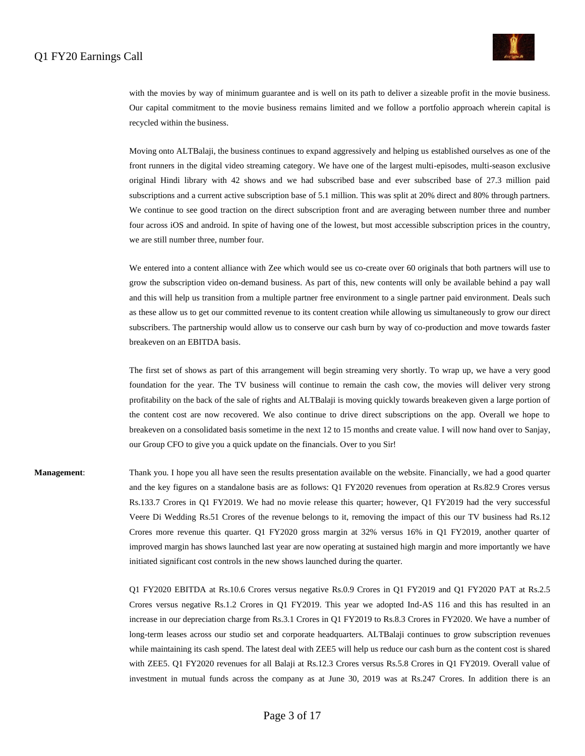

with the movies by way of minimum guarantee and is well on its path to deliver a sizeable profit in the movie business. Our capital commitment to the movie business remains limited and we follow a portfolio approach wherein capital is recycled within the business.

Moving onto ALTBalaji, the business continues to expand aggressively and helping us established ourselves as one of the front runners in the digital video streaming category. We have one of the largest multi-episodes, multi-season exclusive original Hindi library with 42 shows and we had subscribed base and ever subscribed base of 27.3 million paid subscriptions and a current active subscription base of 5.1 million. This was split at 20% direct and 80% through partners. We continue to see good traction on the direct subscription front and are averaging between number three and number four across iOS and android. In spite of having one of the lowest, but most accessible subscription prices in the country, we are still number three, number four.

We entered into a content alliance with Zee which would see us co-create over 60 originals that both partners will use to grow the subscription video on-demand business. As part of this, new contents will only be available behind a pay wall and this will help us transition from a multiple partner free environment to a single partner paid environment. Deals such as these allow us to get our committed revenue to its content creation while allowing us simultaneously to grow our direct subscribers. The partnership would allow us to conserve our cash burn by way of co-production and move towards faster breakeven on an EBITDA basis.

The first set of shows as part of this arrangement will begin streaming very shortly. To wrap up, we have a very good foundation for the year. The TV business will continue to remain the cash cow, the movies will deliver very strong profitability on the back of the sale of rights and ALTBalaji is moving quickly towards breakeven given a large portion of the content cost are now recovered. We also continue to drive direct subscriptions on the app. Overall we hope to breakeven on a consolidated basis sometime in the next 12 to 15 months and create value. I will now hand over to Sanjay, our Group CFO to give you a quick update on the financials. Over to you Sir!

**Management**: Thank you. I hope you all have seen the results presentation available on the website. Financially, we had a good quarter and the key figures on a standalone basis are as follows: Q1 FY2020 revenues from operation at Rs.82.9 Crores versus Rs.133.7 Crores in Q1 FY2019. We had no movie release this quarter; however, Q1 FY2019 had the very successful Veere Di Wedding Rs.51 Crores of the revenue belongs to it, removing the impact of this our TV business had Rs.12 Crores more revenue this quarter. Q1 FY2020 gross margin at 32% versus 16% in Q1 FY2019, another quarter of improved margin has shows launched last year are now operating at sustained high margin and more importantly we have initiated significant cost controls in the new shows launched during the quarter.

> Q1 FY2020 EBITDA at Rs.10.6 Crores versus negative Rs.0.9 Crores in Q1 FY2019 and Q1 FY2020 PAT at Rs.2.5 Crores versus negative Rs.1.2 Crores in Q1 FY2019. This year we adopted Ind-AS 116 and this has resulted in an increase in our depreciation charge from Rs.3.1 Crores in Q1 FY2019 to Rs.8.3 Crores in FY2020. We have a number of long-term leases across our studio set and corporate headquarters. ALTBalaji continues to grow subscription revenues while maintaining its cash spend. The latest deal with ZEE5 will help us reduce our cash burn as the content cost is shared with ZEE5. Q1 FY2020 revenues for all Balaji at Rs.12.3 Crores versus Rs.5.8 Crores in Q1 FY2019. Overall value of investment in mutual funds across the company as at June 30, 2019 was at Rs.247 Crores. In addition there is an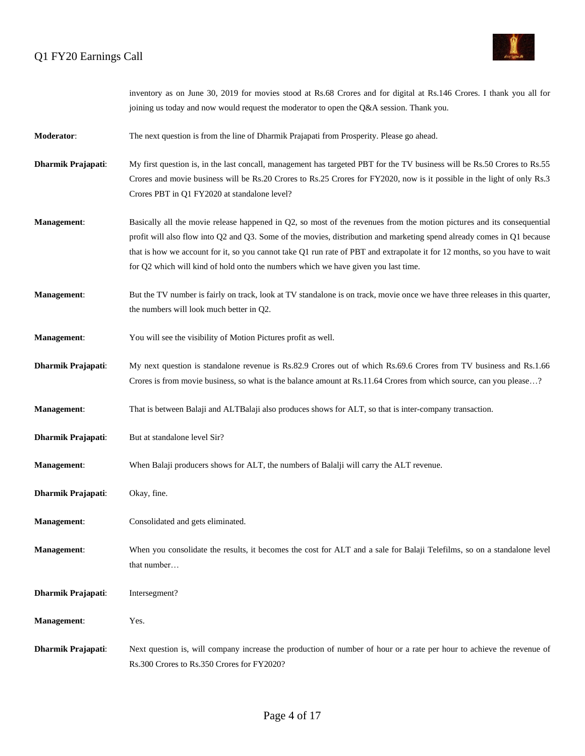

|                           | inventory as on June 30, 2019 for movies stood at Rs.68 Crores and for digital at Rs.146 Crores. I thank you all for<br>joining us today and now would request the moderator to open the Q&A session. Thank you.                                                                                                                                                                                                                                                     |
|---------------------------|----------------------------------------------------------------------------------------------------------------------------------------------------------------------------------------------------------------------------------------------------------------------------------------------------------------------------------------------------------------------------------------------------------------------------------------------------------------------|
| Moderator:                | The next question is from the line of Dharmik Prajapati from Prosperity. Please go ahead.                                                                                                                                                                                                                                                                                                                                                                            |
| <b>Dharmik Prajapati:</b> | My first question is, in the last concall, management has targeted PBT for the TV business will be Rs.50 Crores to Rs.55<br>Crores and movie business will be Rs.20 Crores to Rs.25 Crores for FY2020, now is it possible in the light of only Rs.3<br>Crores PBT in Q1 FY2020 at standalone level?                                                                                                                                                                  |
| Management:               | Basically all the movie release happened in Q2, so most of the revenues from the motion pictures and its consequential<br>profit will also flow into Q2 and Q3. Some of the movies, distribution and marketing spend already comes in Q1 because<br>that is how we account for it, so you cannot take Q1 run rate of PBT and extrapolate it for 12 months, so you have to wait<br>for Q2 which will kind of hold onto the numbers which we have given you last time. |
| Management:               | But the TV number is fairly on track, look at TV standalone is on track, movie once we have three releases in this quarter,<br>the numbers will look much better in Q2.                                                                                                                                                                                                                                                                                              |
| Management:               | You will see the visibility of Motion Pictures profit as well.                                                                                                                                                                                                                                                                                                                                                                                                       |
| <b>Dharmik Prajapati:</b> | My next question is standalone revenue is Rs.82.9 Crores out of which Rs.69.6 Crores from TV business and Rs.1.66<br>Crores is from movie business, so what is the balance amount at Rs.11.64 Crores from which source, can you please?                                                                                                                                                                                                                              |
| Management:               | That is between Balaji and ALTBalaji also produces shows for ALT, so that is inter-company transaction.                                                                                                                                                                                                                                                                                                                                                              |
| Dharmik Prajapati:        | But at standalone level Sir?                                                                                                                                                                                                                                                                                                                                                                                                                                         |
| Management:               | When Balaji producers shows for ALT, the numbers of Balalji will carry the ALT revenue.                                                                                                                                                                                                                                                                                                                                                                              |
| Dharmik Prajapati:        | Okay, fine.                                                                                                                                                                                                                                                                                                                                                                                                                                                          |
| Management:               | Consolidated and gets eliminated.                                                                                                                                                                                                                                                                                                                                                                                                                                    |
| Management:               | When you consolidate the results, it becomes the cost for ALT and a sale for Balaji Telefilms, so on a standalone level<br>that number                                                                                                                                                                                                                                                                                                                               |
| Dharmik Prajapati:        | Intersegment?                                                                                                                                                                                                                                                                                                                                                                                                                                                        |
| Management:               | Yes.                                                                                                                                                                                                                                                                                                                                                                                                                                                                 |
| Dharmik Prajapati:        | Next question is, will company increase the production of number of hour or a rate per hour to achieve the revenue of<br>Rs.300 Crores to Rs.350 Crores for FY2020?                                                                                                                                                                                                                                                                                                  |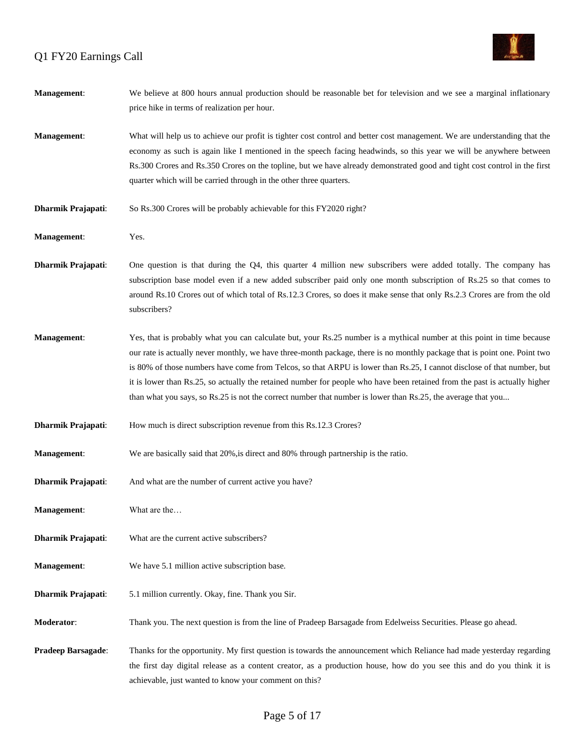

| Management:               | We believe at 800 hours annual production should be reasonable bet for television and we see a marginal inflationary<br>price hike in terms of realization per hour.                                                                                                                                                                                                                                                                                                                                                                                                                                                        |
|---------------------------|-----------------------------------------------------------------------------------------------------------------------------------------------------------------------------------------------------------------------------------------------------------------------------------------------------------------------------------------------------------------------------------------------------------------------------------------------------------------------------------------------------------------------------------------------------------------------------------------------------------------------------|
| <b>Management:</b>        | What will help us to achieve our profit is tighter cost control and better cost management. We are understanding that the<br>economy as such is again like I mentioned in the speech facing headwinds, so this year we will be anywhere between<br>Rs.300 Crores and Rs.350 Crores on the topline, but we have already demonstrated good and tight cost control in the first<br>quarter which will be carried through in the other three quarters.                                                                                                                                                                          |
| <b>Dharmik Prajapati:</b> | So Rs.300 Crores will be probably achievable for this FY2020 right?                                                                                                                                                                                                                                                                                                                                                                                                                                                                                                                                                         |
| Management:               | Yes.                                                                                                                                                                                                                                                                                                                                                                                                                                                                                                                                                                                                                        |
| Dharmik Prajapati:        | One question is that during the Q4, this quarter 4 million new subscribers were added totally. The company has<br>subscription base model even if a new added subscriber paid only one month subscription of Rs.25 so that comes to<br>around Rs.10 Crores out of which total of Rs.12.3 Crores, so does it make sense that only Rs.2.3 Crores are from the old<br>subscribers?                                                                                                                                                                                                                                             |
| Management:               | Yes, that is probably what you can calculate but, your Rs.25 number is a mythical number at this point in time because<br>our rate is actually never monthly, we have three-month package, there is no monthly package that is point one. Point two<br>is 80% of those numbers have come from Telcos, so that ARPU is lower than Rs.25, I cannot disclose of that number, but<br>it is lower than Rs.25, so actually the retained number for people who have been retained from the past is actually higher<br>than what you says, so Rs.25 is not the correct number that number is lower than Rs.25, the average that you |
| <b>Dharmik Prajapati:</b> | How much is direct subscription revenue from this Rs.12.3 Crores?                                                                                                                                                                                                                                                                                                                                                                                                                                                                                                                                                           |
| Management:               | We are basically said that 20%, is direct and 80% through partnership is the ratio.                                                                                                                                                                                                                                                                                                                                                                                                                                                                                                                                         |
| <b>Dharmik Prajapati:</b> | And what are the number of current active you have?                                                                                                                                                                                                                                                                                                                                                                                                                                                                                                                                                                         |
| Management:               | What are the                                                                                                                                                                                                                                                                                                                                                                                                                                                                                                                                                                                                                |
| Dharmik Prajapati:        | What are the current active subscribers?                                                                                                                                                                                                                                                                                                                                                                                                                                                                                                                                                                                    |
| Management:               | We have 5.1 million active subscription base.                                                                                                                                                                                                                                                                                                                                                                                                                                                                                                                                                                               |
| Dharmik Prajapati:        | 5.1 million currently. Okay, fine. Thank you Sir.                                                                                                                                                                                                                                                                                                                                                                                                                                                                                                                                                                           |
| <b>Moderator:</b>         | Thank you. The next question is from the line of Pradeep Barsagade from Edelweiss Securities. Please go ahead.                                                                                                                                                                                                                                                                                                                                                                                                                                                                                                              |
| <b>Pradeep Barsagade:</b> | Thanks for the opportunity. My first question is towards the announcement which Reliance had made yesterday regarding<br>the first day digital release as a content creator, as a production house, how do you see this and do you think it is<br>achievable, just wanted to know your comment on this?                                                                                                                                                                                                                                                                                                                     |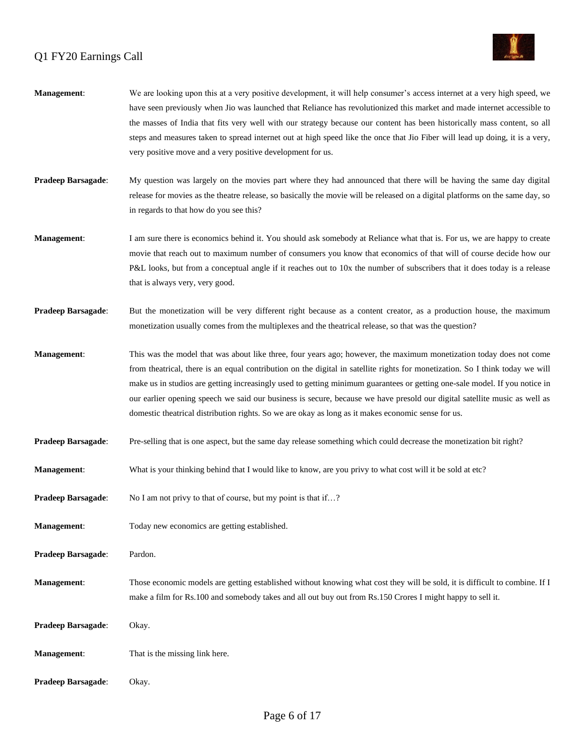

| Management:        | We are looking upon this at a very positive development, it will help consumer's access internet at a very high speed, we<br>have seen previously when Jio was launched that Reliance has revolutionized this market and made internet accessible to<br>the masses of India that fits very well with our strategy because our content has been historically mass content, so all<br>steps and measures taken to spread internet out at high speed like the once that Jio Fiber will lead up doing, it is a very,<br>very positive move and a very positive development for us.                                        |
|--------------------|-----------------------------------------------------------------------------------------------------------------------------------------------------------------------------------------------------------------------------------------------------------------------------------------------------------------------------------------------------------------------------------------------------------------------------------------------------------------------------------------------------------------------------------------------------------------------------------------------------------------------|
| Pradeep Barsagade: | My question was largely on the movies part where they had announced that there will be having the same day digital<br>release for movies as the theatre release, so basically the movie will be released on a digital platforms on the same day, so<br>in regards to that how do you see this?                                                                                                                                                                                                                                                                                                                        |
| <b>Management:</b> | I am sure there is economics behind it. You should ask somebody at Reliance what that is. For us, we are happy to create<br>movie that reach out to maximum number of consumers you know that economics of that will of course decide how our<br>P&L looks, but from a conceptual angle if it reaches out to 10x the number of subscribers that it does today is a release<br>that is always very, very good.                                                                                                                                                                                                         |
| Pradeep Barsagade: | But the monetization will be very different right because as a content creator, as a production house, the maximum<br>monetization usually comes from the multiplexes and the theatrical release, so that was the question?                                                                                                                                                                                                                                                                                                                                                                                           |
| Management:        | This was the model that was about like three, four years ago; however, the maximum monetization today does not come<br>from theatrical, there is an equal contribution on the digital in satellite rights for monetization. So I think today we will<br>make us in studios are getting increasingly used to getting minimum guarantees or getting one-sale model. If you notice in<br>our earlier opening speech we said our business is secure, because we have presold our digital satellite music as well as<br>domestic theatrical distribution rights. So we are okay as long as it makes economic sense for us. |
| Pradeep Barsagade: | Pre-selling that is one aspect, but the same day release something which could decrease the monetization bit right?                                                                                                                                                                                                                                                                                                                                                                                                                                                                                                   |
| Management:        | What is your thinking behind that I would like to know, are you privy to what cost will it be sold at etc?                                                                                                                                                                                                                                                                                                                                                                                                                                                                                                            |
| Pradeep Barsagade: | No I am not privy to that of course, but my point is that if?                                                                                                                                                                                                                                                                                                                                                                                                                                                                                                                                                         |
| <b>Management:</b> | Today new economics are getting established.                                                                                                                                                                                                                                                                                                                                                                                                                                                                                                                                                                          |
| Pradeep Barsagade: | Pardon.                                                                                                                                                                                                                                                                                                                                                                                                                                                                                                                                                                                                               |
| Management:        | Those economic models are getting established without knowing what cost they will be sold, it is difficult to combine. If I<br>make a film for Rs.100 and somebody takes and all out buy out from Rs.150 Crores I might happy to sell it.                                                                                                                                                                                                                                                                                                                                                                             |
| Pradeep Barsagade: | Okay.                                                                                                                                                                                                                                                                                                                                                                                                                                                                                                                                                                                                                 |
| <b>Management:</b> | That is the missing link here.                                                                                                                                                                                                                                                                                                                                                                                                                                                                                                                                                                                        |
| Pradeep Barsagade: | Okay.                                                                                                                                                                                                                                                                                                                                                                                                                                                                                                                                                                                                                 |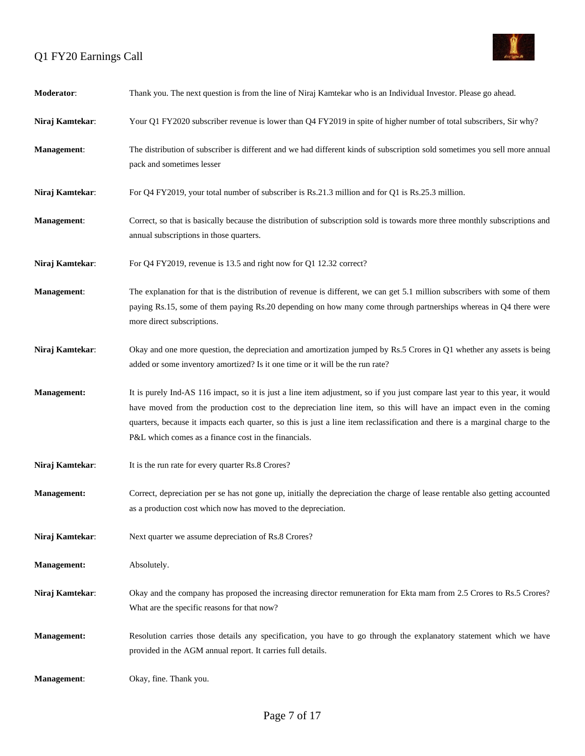

| Moderator:         | Thank you. The next question is from the line of Niraj Kamtekar who is an Individual Investor. Please go ahead.                                                                                                                                                                                                                                                                                                                             |
|--------------------|---------------------------------------------------------------------------------------------------------------------------------------------------------------------------------------------------------------------------------------------------------------------------------------------------------------------------------------------------------------------------------------------------------------------------------------------|
| Niraj Kamtekar:    | Your Q1 FY2020 subscriber revenue is lower than Q4 FY2019 in spite of higher number of total subscribers, Sir why?                                                                                                                                                                                                                                                                                                                          |
| Management:        | The distribution of subscriber is different and we had different kinds of subscription sold sometimes you sell more annual<br>pack and sometimes lesser                                                                                                                                                                                                                                                                                     |
| Niraj Kamtekar:    | For Q4 FY2019, your total number of subscriber is Rs.21.3 million and for Q1 is Rs.25.3 million.                                                                                                                                                                                                                                                                                                                                            |
| <b>Management:</b> | Correct, so that is basically because the distribution of subscription sold is towards more three monthly subscriptions and<br>annual subscriptions in those quarters.                                                                                                                                                                                                                                                                      |
| Niraj Kamtekar:    | For Q4 FY2019, revenue is 13.5 and right now for Q1 12.32 correct?                                                                                                                                                                                                                                                                                                                                                                          |
| Management:        | The explanation for that is the distribution of revenue is different, we can get 5.1 million subscribers with some of them<br>paying Rs.15, some of them paying Rs.20 depending on how many come through partnerships whereas in Q4 there were<br>more direct subscriptions.                                                                                                                                                                |
| Niraj Kamtekar:    | Okay and one more question, the depreciation and amortization jumped by Rs.5 Crores in Q1 whether any assets is being<br>added or some inventory amortized? Is it one time or it will be the run rate?                                                                                                                                                                                                                                      |
| <b>Management:</b> | It is purely Ind-AS 116 impact, so it is just a line item adjustment, so if you just compare last year to this year, it would<br>have moved from the production cost to the depreciation line item, so this will have an impact even in the coming<br>quarters, because it impacts each quarter, so this is just a line item reclassification and there is a marginal charge to the<br>P&L which comes as a finance cost in the financials. |
| Niraj Kamtekar:    | It is the run rate for every quarter Rs.8 Crores?                                                                                                                                                                                                                                                                                                                                                                                           |
| <b>Management:</b> | Correct, depreciation per se has not gone up, initially the depreciation the charge of lease rentable also getting accounted<br>as a production cost which now has moved to the depreciation.                                                                                                                                                                                                                                               |
| Niraj Kamtekar:    | Next quarter we assume depreciation of Rs.8 Crores?                                                                                                                                                                                                                                                                                                                                                                                         |
| Management:        | Absolutely.                                                                                                                                                                                                                                                                                                                                                                                                                                 |
| Niraj Kamtekar:    | Okay and the company has proposed the increasing director remuneration for Ekta mam from 2.5 Crores to Rs.5 Crores?<br>What are the specific reasons for that now?                                                                                                                                                                                                                                                                          |
| Management:        | Resolution carries those details any specification, you have to go through the explanatory statement which we have<br>provided in the AGM annual report. It carries full details.                                                                                                                                                                                                                                                           |
| Management:        | Okay, fine. Thank you.                                                                                                                                                                                                                                                                                                                                                                                                                      |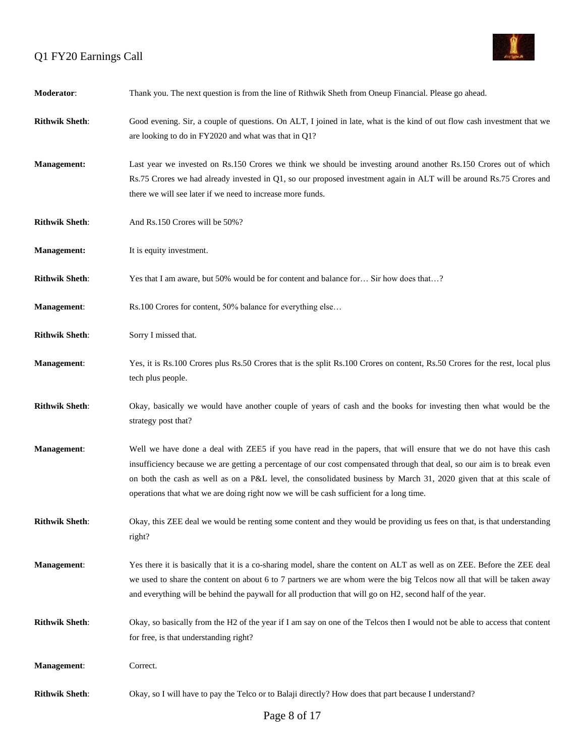

| Moderator:            | Thank you. The next question is from the line of Rithwik Sheth from Oneup Financial. Please go ahead.                                                                                                                                                                                                                                                                                                                                                           |
|-----------------------|-----------------------------------------------------------------------------------------------------------------------------------------------------------------------------------------------------------------------------------------------------------------------------------------------------------------------------------------------------------------------------------------------------------------------------------------------------------------|
| <b>Rithwik Sheth:</b> | Good evening. Sir, a couple of questions. On ALT, I joined in late, what is the kind of out flow cash investment that we<br>are looking to do in FY2020 and what was that in Q1?                                                                                                                                                                                                                                                                                |
| <b>Management:</b>    | Last year we invested on Rs.150 Crores we think we should be investing around another Rs.150 Crores out of which<br>Rs.75 Crores we had already invested in Q1, so our proposed investment again in ALT will be around Rs.75 Crores and<br>there we will see later if we need to increase more funds.                                                                                                                                                           |
| <b>Rithwik Sheth:</b> | And Rs.150 Crores will be 50%?                                                                                                                                                                                                                                                                                                                                                                                                                                  |
| <b>Management:</b>    | It is equity investment.                                                                                                                                                                                                                                                                                                                                                                                                                                        |
| <b>Rithwik Sheth:</b> | Yes that I am aware, but 50% would be for content and balance for Sir how does that?                                                                                                                                                                                                                                                                                                                                                                            |
| Management:           | Rs.100 Crores for content, 50% balance for everything else                                                                                                                                                                                                                                                                                                                                                                                                      |
| <b>Rithwik Sheth:</b> | Sorry I missed that.                                                                                                                                                                                                                                                                                                                                                                                                                                            |
| Management:           | Yes, it is Rs.100 Crores plus Rs.50 Crores that is the split Rs.100 Crores on content, Rs.50 Crores for the rest, local plus<br>tech plus people.                                                                                                                                                                                                                                                                                                               |
| <b>Rithwik Sheth:</b> | Okay, basically we would have another couple of years of cash and the books for investing then what would be the<br>strategy post that?                                                                                                                                                                                                                                                                                                                         |
| Management:           | Well we have done a deal with ZEE5 if you have read in the papers, that will ensure that we do not have this cash<br>insufficiency because we are getting a percentage of our cost compensated through that deal, so our aim is to break even<br>on both the cash as well as on a P&L level, the consolidated business by March 31, 2020 given that at this scale of<br>operations that what we are doing right now we will be cash sufficient for a long time. |
| <b>Rithwik Sheth:</b> | Okay, this ZEE deal we would be renting some content and they would be providing us fees on that, is that understanding<br>right?                                                                                                                                                                                                                                                                                                                               |
| Management:           | Yes there it is basically that it is a co-sharing model, share the content on ALT as well as on ZEE. Before the ZEE deal<br>we used to share the content on about 6 to 7 partners we are whom were the big Telcos now all that will be taken away<br>and everything will be behind the paywall for all production that will go on H2, second half of the year.                                                                                                  |
| <b>Rithwik Sheth:</b> | Okay, so basically from the H2 of the year if I am say on one of the Telcos then I would not be able to access that content<br>for free, is that understanding right?                                                                                                                                                                                                                                                                                           |
| Management:           | Correct.                                                                                                                                                                                                                                                                                                                                                                                                                                                        |
| <b>Rithwik Sheth:</b> | Okay, so I will have to pay the Telco or to Balaji directly? How does that part because I understand?                                                                                                                                                                                                                                                                                                                                                           |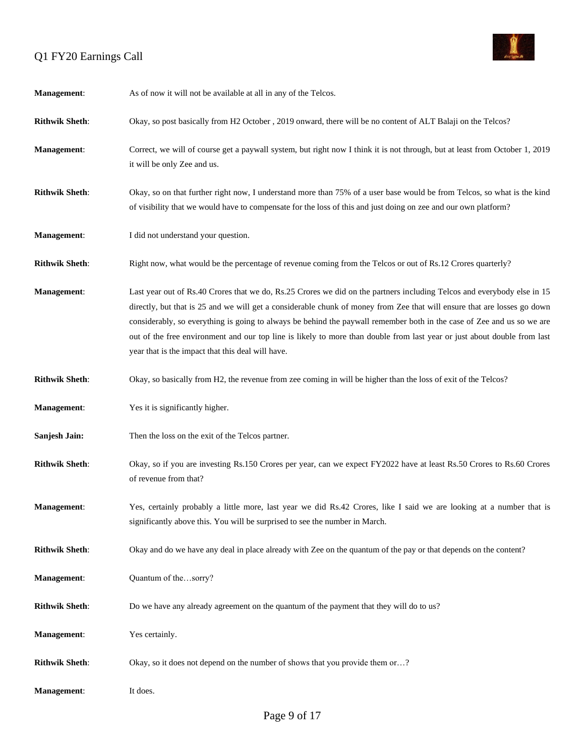

| Management:           | As of now it will not be available at all in any of the Telcos.                                                                                                                                                                                                                                                                                                                                                                                                                                                                                                |
|-----------------------|----------------------------------------------------------------------------------------------------------------------------------------------------------------------------------------------------------------------------------------------------------------------------------------------------------------------------------------------------------------------------------------------------------------------------------------------------------------------------------------------------------------------------------------------------------------|
| <b>Rithwik Sheth:</b> | Okay, so post basically from H2 October , 2019 onward, there will be no content of ALT Balaji on the Telcos?                                                                                                                                                                                                                                                                                                                                                                                                                                                   |
| Management:           | Correct, we will of course get a paywall system, but right now I think it is not through, but at least from October 1, 2019<br>it will be only Zee and us.                                                                                                                                                                                                                                                                                                                                                                                                     |
| <b>Rithwik Sheth:</b> | Okay, so on that further right now, I understand more than 75% of a user base would be from Telcos, so what is the kind<br>of visibility that we would have to compensate for the loss of this and just doing on zee and our own platform?                                                                                                                                                                                                                                                                                                                     |
| <b>Management:</b>    | I did not understand your question.                                                                                                                                                                                                                                                                                                                                                                                                                                                                                                                            |
| <b>Rithwik Sheth:</b> | Right now, what would be the percentage of revenue coming from the Telcos or out of Rs.12 Crores quarterly?                                                                                                                                                                                                                                                                                                                                                                                                                                                    |
| Management:           | Last year out of Rs.40 Crores that we do, Rs.25 Crores we did on the partners including Telcos and everybody else in 15<br>directly, but that is 25 and we will get a considerable chunk of money from Zee that will ensure that are losses go down<br>considerably, so everything is going to always be behind the paywall remember both in the case of Zee and us so we are<br>out of the free environment and our top line is likely to more than double from last year or just about double from last<br>year that is the impact that this deal will have. |
| <b>Rithwik Sheth:</b> | Okay, so basically from H2, the revenue from zee coming in will be higher than the loss of exit of the Telcos?                                                                                                                                                                                                                                                                                                                                                                                                                                                 |
| <b>Management:</b>    | Yes it is significantly higher.                                                                                                                                                                                                                                                                                                                                                                                                                                                                                                                                |
| Sanjesh Jain:         | Then the loss on the exit of the Telcos partner.                                                                                                                                                                                                                                                                                                                                                                                                                                                                                                               |
| <b>Rithwik Sheth:</b> | Okay, so if you are investing Rs.150 Crores per year, can we expect FY2022 have at least Rs.50 Crores to Rs.60 Crores<br>of revenue from that?                                                                                                                                                                                                                                                                                                                                                                                                                 |
| Management:           | Yes, certainly probably a little more, last year we did Rs.42 Crores, like I said we are looking at a number that is<br>significantly above this. You will be surprised to see the number in March.                                                                                                                                                                                                                                                                                                                                                            |
| <b>Rithwik Sheth:</b> | Okay and do we have any deal in place already with Zee on the quantum of the pay or that depends on the content?                                                                                                                                                                                                                                                                                                                                                                                                                                               |
| Management:           | Quantum of thesorry?                                                                                                                                                                                                                                                                                                                                                                                                                                                                                                                                           |
| <b>Rithwik Sheth:</b> | Do we have any already agreement on the quantum of the payment that they will do to us?                                                                                                                                                                                                                                                                                                                                                                                                                                                                        |
| Management:           | Yes certainly.                                                                                                                                                                                                                                                                                                                                                                                                                                                                                                                                                 |
| <b>Rithwik Sheth:</b> | Okay, so it does not depend on the number of shows that you provide them or?                                                                                                                                                                                                                                                                                                                                                                                                                                                                                   |
| Management:           | It does.                                                                                                                                                                                                                                                                                                                                                                                                                                                                                                                                                       |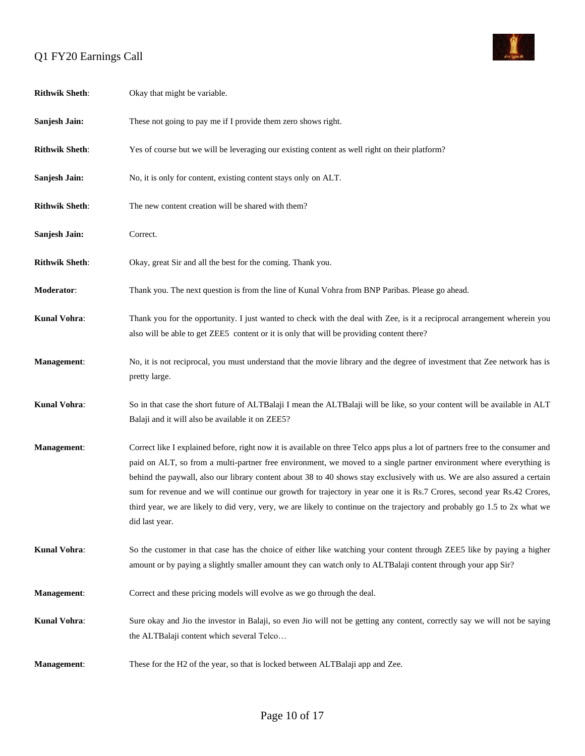

| <b>Rithwik Sheth:</b> | Okay that might be variable.                                                                                                                                                                                                                                                                                                                                                                                                                                                                                                                                                                                                                                  |
|-----------------------|---------------------------------------------------------------------------------------------------------------------------------------------------------------------------------------------------------------------------------------------------------------------------------------------------------------------------------------------------------------------------------------------------------------------------------------------------------------------------------------------------------------------------------------------------------------------------------------------------------------------------------------------------------------|
| Sanjesh Jain:         | These not going to pay me if I provide them zero shows right.                                                                                                                                                                                                                                                                                                                                                                                                                                                                                                                                                                                                 |
| <b>Rithwik Sheth:</b> | Yes of course but we will be leveraging our existing content as well right on their platform?                                                                                                                                                                                                                                                                                                                                                                                                                                                                                                                                                                 |
| Sanjesh Jain:         | No, it is only for content, existing content stays only on ALT.                                                                                                                                                                                                                                                                                                                                                                                                                                                                                                                                                                                               |
| <b>Rithwik Sheth:</b> | The new content creation will be shared with them?                                                                                                                                                                                                                                                                                                                                                                                                                                                                                                                                                                                                            |
| Sanjesh Jain:         | Correct.                                                                                                                                                                                                                                                                                                                                                                                                                                                                                                                                                                                                                                                      |
| <b>Rithwik Sheth:</b> | Okay, great Sir and all the best for the coming. Thank you.                                                                                                                                                                                                                                                                                                                                                                                                                                                                                                                                                                                                   |
| Moderator:            | Thank you. The next question is from the line of Kunal Vohra from BNP Paribas. Please go ahead.                                                                                                                                                                                                                                                                                                                                                                                                                                                                                                                                                               |
| Kunal Vohra:          | Thank you for the opportunity. I just wanted to check with the deal with Zee, is it a reciprocal arrangement wherein you<br>also will be able to get ZEE5 content or it is only that will be providing content there?                                                                                                                                                                                                                                                                                                                                                                                                                                         |
| Management:           | No, it is not reciprocal, you must understand that the movie library and the degree of investment that Zee network has is<br>pretty large.                                                                                                                                                                                                                                                                                                                                                                                                                                                                                                                    |
| Kunal Vohra:          | So in that case the short future of ALTBalaji I mean the ALTBalaji will be like, so your content will be available in ALT<br>Balaji and it will also be available it on ZEE5?                                                                                                                                                                                                                                                                                                                                                                                                                                                                                 |
| Management:           | Correct like I explained before, right now it is available on three Telco apps plus a lot of partners free to the consumer and<br>paid on ALT, so from a multi-partner free environment, we moved to a single partner environment where everything is<br>behind the paywall, also our library content about 38 to 40 shows stay exclusively with us. We are also assured a certain<br>sum for revenue and we will continue our growth for trajectory in year one it is Rs.7 Crores, second year Rs.42 Crores,<br>third year, we are likely to did very, very, we are likely to continue on the trajectory and probably go 1.5 to 2x what we<br>did last year. |
| Kunal Vohra:          | So the customer in that case has the choice of either like watching your content through ZEE5 like by paying a higher<br>amount or by paying a slightly smaller amount they can watch only to ALTBalaji content through your app Sir?                                                                                                                                                                                                                                                                                                                                                                                                                         |
| Management:           | Correct and these pricing models will evolve as we go through the deal.                                                                                                                                                                                                                                                                                                                                                                                                                                                                                                                                                                                       |
| Kunal Vohra:          | Sure okay and Jio the investor in Balaji, so even Jio will not be getting any content, correctly say we will not be saying<br>the ALTBalaji content which several Telco                                                                                                                                                                                                                                                                                                                                                                                                                                                                                       |
| Management:           | These for the H2 of the year, so that is locked between ALTBalaji app and Zee.                                                                                                                                                                                                                                                                                                                                                                                                                                                                                                                                                                                |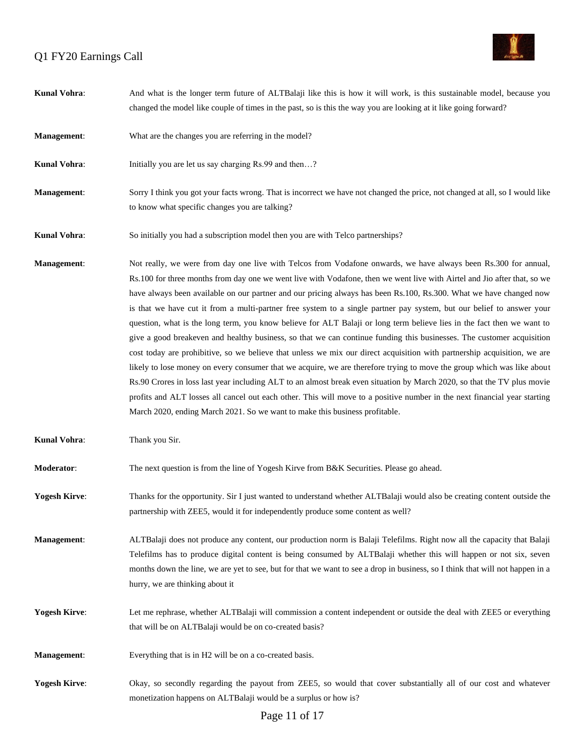

| Kunal Vohra:         | And what is the longer term future of ALTBalaji like this is how it will work, is this sustainable model, because you<br>changed the model like couple of times in the past, so is this the way you are looking at it like going forward?                                                                                                                                                                                                                                                                                                                                                                                                                                                                                                                                                                                                                                                                                                                                                                                                                                                                                                                                                                                                                                                                                                  |
|----------------------|--------------------------------------------------------------------------------------------------------------------------------------------------------------------------------------------------------------------------------------------------------------------------------------------------------------------------------------------------------------------------------------------------------------------------------------------------------------------------------------------------------------------------------------------------------------------------------------------------------------------------------------------------------------------------------------------------------------------------------------------------------------------------------------------------------------------------------------------------------------------------------------------------------------------------------------------------------------------------------------------------------------------------------------------------------------------------------------------------------------------------------------------------------------------------------------------------------------------------------------------------------------------------------------------------------------------------------------------|
| Management:          | What are the changes you are referring in the model?                                                                                                                                                                                                                                                                                                                                                                                                                                                                                                                                                                                                                                                                                                                                                                                                                                                                                                                                                                                                                                                                                                                                                                                                                                                                                       |
| Kunal Vohra:         | Initially you are let us say charging Rs.99 and then?                                                                                                                                                                                                                                                                                                                                                                                                                                                                                                                                                                                                                                                                                                                                                                                                                                                                                                                                                                                                                                                                                                                                                                                                                                                                                      |
| <b>Management:</b>   | Sorry I think you got your facts wrong. That is incorrect we have not changed the price, not changed at all, so I would like<br>to know what specific changes you are talking?                                                                                                                                                                                                                                                                                                                                                                                                                                                                                                                                                                                                                                                                                                                                                                                                                                                                                                                                                                                                                                                                                                                                                             |
| Kunal Vohra:         | So initially you had a subscription model then you are with Telco partnerships?                                                                                                                                                                                                                                                                                                                                                                                                                                                                                                                                                                                                                                                                                                                                                                                                                                                                                                                                                                                                                                                                                                                                                                                                                                                            |
| Management:          | Not really, we were from day one live with Telcos from Vodafone onwards, we have always been Rs.300 for annual,<br>Rs.100 for three months from day one we went live with Vodafone, then we went live with Airtel and Jio after that, so we<br>have always been available on our partner and our pricing always has been Rs.100, Rs.300. What we have changed now<br>is that we have cut it from a multi-partner free system to a single partner pay system, but our belief to answer your<br>question, what is the long term, you know believe for ALT Balaji or long term believe lies in the fact then we want to<br>give a good breakeven and healthy business, so that we can continue funding this businesses. The customer acquisition<br>cost today are prohibitive, so we believe that unless we mix our direct acquisition with partnership acquisition, we are<br>likely to lose money on every consumer that we acquire, we are therefore trying to move the group which was like about<br>Rs.90 Crores in loss last year including ALT to an almost break even situation by March 2020, so that the TV plus movie<br>profits and ALT losses all cancel out each other. This will move to a positive number in the next financial year starting<br>March 2020, ending March 2021. So we want to make this business profitable. |
| Kunal Vohra:         | Thank you Sir.                                                                                                                                                                                                                                                                                                                                                                                                                                                                                                                                                                                                                                                                                                                                                                                                                                                                                                                                                                                                                                                                                                                                                                                                                                                                                                                             |
| Moderator:           | The next question is from the line of Yogesh Kirve from B&K Securities. Please go ahead.                                                                                                                                                                                                                                                                                                                                                                                                                                                                                                                                                                                                                                                                                                                                                                                                                                                                                                                                                                                                                                                                                                                                                                                                                                                   |
| <b>Yogesh Kirve:</b> | Thanks for the opportunity. Sir I just wanted to understand whether ALTBalaji would also be creating content outside the<br>partnership with ZEE5, would it for independently produce some content as well?                                                                                                                                                                                                                                                                                                                                                                                                                                                                                                                                                                                                                                                                                                                                                                                                                                                                                                                                                                                                                                                                                                                                |
| Management:          | ALTBalaji does not produce any content, our production norm is Balaji Telefilms. Right now all the capacity that Balaji<br>Telefilms has to produce digital content is being consumed by ALTBalaji whether this will happen or not six, seven<br>months down the line, we are yet to see, but for that we want to see a drop in business, so I think that will not happen in a<br>hurry, we are thinking about it                                                                                                                                                                                                                                                                                                                                                                                                                                                                                                                                                                                                                                                                                                                                                                                                                                                                                                                          |
| <b>Yogesh Kirve:</b> | Let me rephrase, whether ALTBalaji will commission a content independent or outside the deal with ZEE5 or everything<br>that will be on ALTBalaji would be on co-created basis?                                                                                                                                                                                                                                                                                                                                                                                                                                                                                                                                                                                                                                                                                                                                                                                                                                                                                                                                                                                                                                                                                                                                                            |
| Management:          | Everything that is in H2 will be on a co-created basis.                                                                                                                                                                                                                                                                                                                                                                                                                                                                                                                                                                                                                                                                                                                                                                                                                                                                                                                                                                                                                                                                                                                                                                                                                                                                                    |
| <b>Yogesh Kirve:</b> | Okay, so secondly regarding the payout from ZEE5, so would that cover substantially all of our cost and whatever<br>monetization happens on ALTBalaji would be a surplus or how is?                                                                                                                                                                                                                                                                                                                                                                                                                                                                                                                                                                                                                                                                                                                                                                                                                                                                                                                                                                                                                                                                                                                                                        |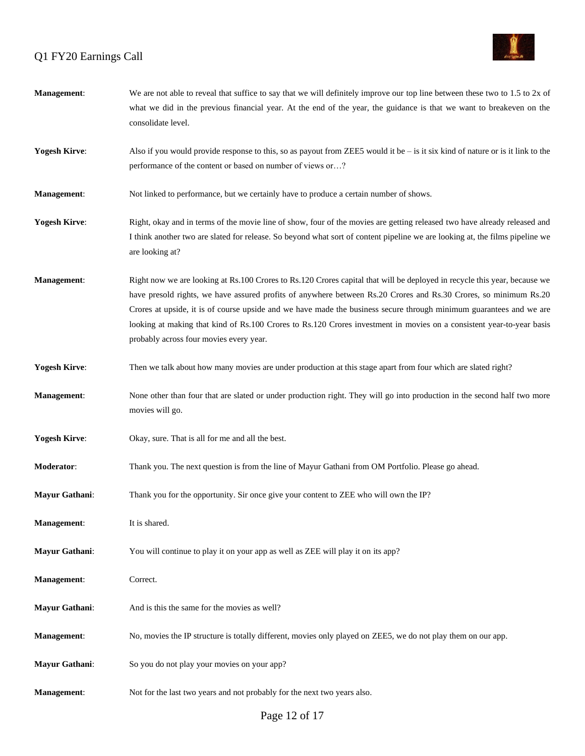

| <b>Management:</b>   | We are not able to reveal that suffice to say that we will definitely improve our top line between these two to $1.5$ to $2x$ of<br>what we did in the previous financial year. At the end of the year, the guidance is that we want to breakeven on the<br>consolidate level.                                                                                                                                                                                                                                                           |
|----------------------|------------------------------------------------------------------------------------------------------------------------------------------------------------------------------------------------------------------------------------------------------------------------------------------------------------------------------------------------------------------------------------------------------------------------------------------------------------------------------------------------------------------------------------------|
| <b>Yogesh Kirve:</b> | Also if you would provide response to this, so as payout from ZEE5 would it be $-$ is it six kind of nature or is it link to the<br>performance of the content or based on number of views or?                                                                                                                                                                                                                                                                                                                                           |
| Management:          | Not linked to performance, but we certainly have to produce a certain number of shows.                                                                                                                                                                                                                                                                                                                                                                                                                                                   |
| <b>Yogesh Kirve:</b> | Right, okay and in terms of the movie line of show, four of the movies are getting released two have already released and<br>I think another two are slated for release. So beyond what sort of content pipeline we are looking at, the films pipeline we<br>are looking at?                                                                                                                                                                                                                                                             |
| Management:          | Right now we are looking at Rs.100 Crores to Rs.120 Crores capital that will be deployed in recycle this year, because we<br>have presold rights, we have assured profits of anywhere between Rs.20 Crores and Rs.30 Crores, so minimum Rs.20<br>Crores at upside, it is of course upside and we have made the business secure through minimum guarantees and we are<br>looking at making that kind of Rs.100 Crores to Rs.120 Crores investment in movies on a consistent year-to-year basis<br>probably across four movies every year. |
| <b>Yogesh Kirve:</b> | Then we talk about how many movies are under production at this stage apart from four which are slated right?                                                                                                                                                                                                                                                                                                                                                                                                                            |
| Management:          | None other than four that are slated or under production right. They will go into production in the second half two more<br>movies will go.                                                                                                                                                                                                                                                                                                                                                                                              |
| <b>Yogesh Kirve:</b> | Okay, sure. That is all for me and all the best.                                                                                                                                                                                                                                                                                                                                                                                                                                                                                         |
| Moderator:           | Thank you. The next question is from the line of Mayur Gathani from OM Portfolio. Please go ahead.                                                                                                                                                                                                                                                                                                                                                                                                                                       |
| Mayur Gathani:       | Thank you for the opportunity. Sir once give your content to ZEE who will own the IP?                                                                                                                                                                                                                                                                                                                                                                                                                                                    |
| Management:          | It is shared.                                                                                                                                                                                                                                                                                                                                                                                                                                                                                                                            |
| Mayur Gathani:       | You will continue to play it on your app as well as ZEE will play it on its app?                                                                                                                                                                                                                                                                                                                                                                                                                                                         |
| Management:          | Correct.                                                                                                                                                                                                                                                                                                                                                                                                                                                                                                                                 |
| Mayur Gathani:       | And is this the same for the movies as well?                                                                                                                                                                                                                                                                                                                                                                                                                                                                                             |
| Management:          | No, movies the IP structure is totally different, movies only played on ZEE5, we do not play them on our app.                                                                                                                                                                                                                                                                                                                                                                                                                            |
| Mayur Gathani:       | So you do not play your movies on your app?                                                                                                                                                                                                                                                                                                                                                                                                                                                                                              |
| Management:          | Not for the last two years and not probably for the next two years also.                                                                                                                                                                                                                                                                                                                                                                                                                                                                 |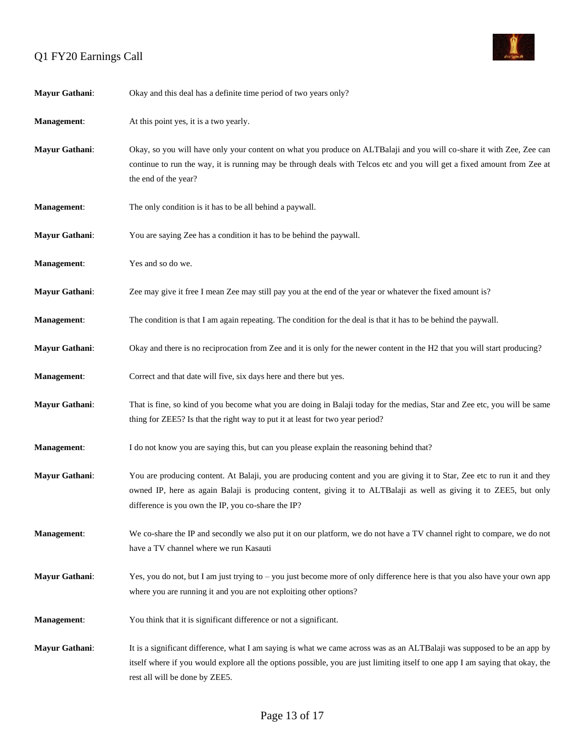

| Mayur Gathani:     | Okay and this deal has a definite time period of two years only?                                                                                                                                                                                                                                      |
|--------------------|-------------------------------------------------------------------------------------------------------------------------------------------------------------------------------------------------------------------------------------------------------------------------------------------------------|
| Management:        | At this point yes, it is a two yearly.                                                                                                                                                                                                                                                                |
| Mayur Gathani:     | Okay, so you will have only your content on what you produce on ALTBalaji and you will co-share it with Zee, Zee can<br>continue to run the way, it is running may be through deals with Telcos etc and you will get a fixed amount from Zee at<br>the end of the year?                               |
| Management:        | The only condition is it has to be all behind a paywall.                                                                                                                                                                                                                                              |
| Mayur Gathani:     | You are saying Zee has a condition it has to be behind the paywall.                                                                                                                                                                                                                                   |
| Management:        | Yes and so do we.                                                                                                                                                                                                                                                                                     |
| Mayur Gathani:     | Zee may give it free I mean Zee may still pay you at the end of the year or whatever the fixed amount is?                                                                                                                                                                                             |
| <b>Management:</b> | The condition is that I am again repeating. The condition for the deal is that it has to be behind the paywall.                                                                                                                                                                                       |
| Mayur Gathani:     | Okay and there is no reciprocation from Zee and it is only for the newer content in the H2 that you will start producing?                                                                                                                                                                             |
| Management:        | Correct and that date will five, six days here and there but yes.                                                                                                                                                                                                                                     |
| Mayur Gathani:     | That is fine, so kind of you become what you are doing in Balaji today for the medias, Star and Zee etc, you will be same<br>thing for ZEE5? Is that the right way to put it at least for two year period?                                                                                            |
| Management:        | I do not know you are saying this, but can you please explain the reasoning behind that?                                                                                                                                                                                                              |
| Mayur Gathani:     | You are producing content. At Balaji, you are producing content and you are giving it to Star, Zee etc to run it and they<br>owned IP, here as again Balaji is producing content, giving it to ALTBalaji as well as giving it to ZEE5, but only<br>difference is you own the IP, you co-share the IP? |
| Management:        | We co-share the IP and secondly we also put it on our platform, we do not have a TV channel right to compare, we do not<br>have a TV channel where we run Kasauti                                                                                                                                     |
| Mayur Gathani:     | Yes, you do not, but I am just trying to – you just become more of only difference here is that you also have your own app<br>where you are running it and you are not exploiting other options?                                                                                                      |
| Management:        | You think that it is significant difference or not a significant.                                                                                                                                                                                                                                     |
| Mayur Gathani:     | It is a significant difference, what I am saying is what we came across was as an ALTB alaji was supposed to be an app by<br>itself where if you would explore all the options possible, you are just limiting itself to one app I am saying that okay, the<br>rest all will be done by ZEE5.         |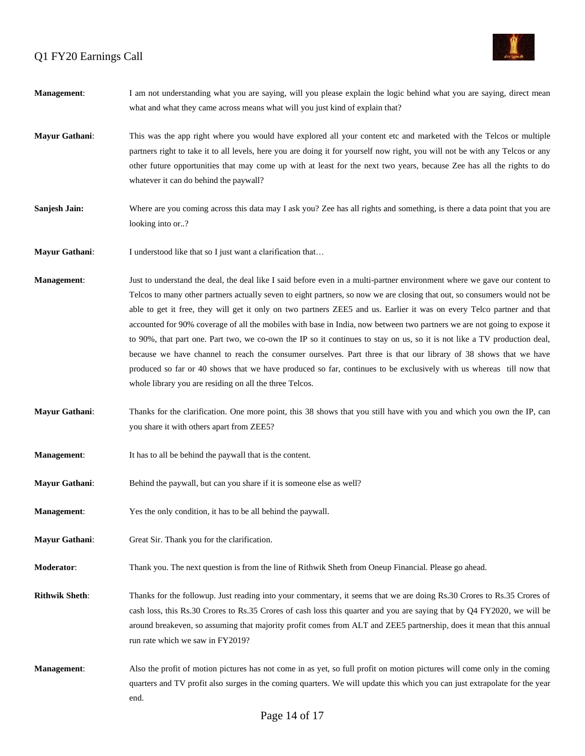

| <b>Management:</b>    | I am not understanding what you are saying, will you please explain the logic behind what you are saying, direct mean<br>what and what they came across means what will you just kind of explain that?                                                                                                                                                                                                                                                                                                                                                                                                                                                                                                                                                                                                                                                                                                                                         |
|-----------------------|------------------------------------------------------------------------------------------------------------------------------------------------------------------------------------------------------------------------------------------------------------------------------------------------------------------------------------------------------------------------------------------------------------------------------------------------------------------------------------------------------------------------------------------------------------------------------------------------------------------------------------------------------------------------------------------------------------------------------------------------------------------------------------------------------------------------------------------------------------------------------------------------------------------------------------------------|
| Mayur Gathani:        | This was the app right where you would have explored all your content etc and marketed with the Telcos or multiple<br>partners right to take it to all levels, here you are doing it for yourself now right, you will not be with any Telcos or any<br>other future opportunities that may come up with at least for the next two years, because Zee has all the rights to do<br>whatever it can do behind the paywall?                                                                                                                                                                                                                                                                                                                                                                                                                                                                                                                        |
| Sanjesh Jain:         | Where are you coming across this data may I ask you? Zee has all rights and something, is there a data point that you are<br>looking into or?                                                                                                                                                                                                                                                                                                                                                                                                                                                                                                                                                                                                                                                                                                                                                                                                  |
| <b>Mayur Gathani:</b> | I understood like that so I just want a clarification that                                                                                                                                                                                                                                                                                                                                                                                                                                                                                                                                                                                                                                                                                                                                                                                                                                                                                     |
| Management:           | Just to understand the deal, the deal like I said before even in a multi-partner environment where we gave our content to<br>Telcos to many other partners actually seven to eight partners, so now we are closing that out, so consumers would not be<br>able to get it free, they will get it only on two partners ZEE5 and us. Earlier it was on every Telco partner and that<br>accounted for 90% coverage of all the mobiles with base in India, now between two partners we are not going to expose it<br>to 90%, that part one. Part two, we co-own the IP so it continues to stay on us, so it is not like a TV production deal,<br>because we have channel to reach the consumer ourselves. Part three is that our library of 38 shows that we have<br>produced so far or 40 shows that we have produced so far, continues to be exclusively with us whereas till now that<br>whole library you are residing on all the three Telcos. |
| Mayur Gathani:        | Thanks for the clarification. One more point, this 38 shows that you still have with you and which you own the IP, can<br>you share it with others apart from ZEE5?                                                                                                                                                                                                                                                                                                                                                                                                                                                                                                                                                                                                                                                                                                                                                                            |
| <b>Management:</b>    | It has to all be behind the paywall that is the content.                                                                                                                                                                                                                                                                                                                                                                                                                                                                                                                                                                                                                                                                                                                                                                                                                                                                                       |
| <b>Mayur Gathani:</b> | Behind the paywall, but can you share if it is someone else as well?                                                                                                                                                                                                                                                                                                                                                                                                                                                                                                                                                                                                                                                                                                                                                                                                                                                                           |
| <b>Management:</b>    | Yes the only condition, it has to be all behind the paywall.                                                                                                                                                                                                                                                                                                                                                                                                                                                                                                                                                                                                                                                                                                                                                                                                                                                                                   |
| Mayur Gathani:        | Great Sir. Thank you for the clarification.                                                                                                                                                                                                                                                                                                                                                                                                                                                                                                                                                                                                                                                                                                                                                                                                                                                                                                    |
| Moderator:            | Thank you. The next question is from the line of Rithwik Sheth from Oneup Financial. Please go ahead.                                                                                                                                                                                                                                                                                                                                                                                                                                                                                                                                                                                                                                                                                                                                                                                                                                          |
| <b>Rithwik Sheth:</b> | Thanks for the followup. Just reading into your commentary, it seems that we are doing Rs.30 Crores to Rs.35 Crores of<br>cash loss, this Rs.30 Crores to Rs.35 Crores of cash loss this quarter and you are saying that by Q4 FY2020, we will be<br>around breakeven, so assuming that majority profit comes from ALT and ZEE5 partnership, does it mean that this annual<br>run rate which we saw in FY2019?                                                                                                                                                                                                                                                                                                                                                                                                                                                                                                                                 |
| Management:           | Also the profit of motion pictures has not come in as yet, so full profit on motion pictures will come only in the coming<br>quarters and TV profit also surges in the coming quarters. We will update this which you can just extrapolate for the year<br>end.                                                                                                                                                                                                                                                                                                                                                                                                                                                                                                                                                                                                                                                                                |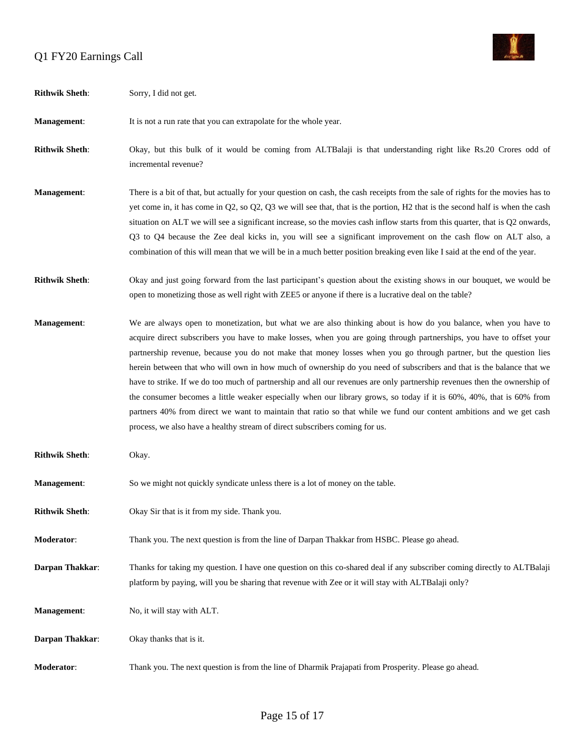

| <b>Rithwik Sheth:</b> | Sorry, I did not get.                                                                                                                                                                                                                                                                                                                                                                                                                                                                                                                                                                                                                                                                                                                                                                                                                                                                                                                           |
|-----------------------|-------------------------------------------------------------------------------------------------------------------------------------------------------------------------------------------------------------------------------------------------------------------------------------------------------------------------------------------------------------------------------------------------------------------------------------------------------------------------------------------------------------------------------------------------------------------------------------------------------------------------------------------------------------------------------------------------------------------------------------------------------------------------------------------------------------------------------------------------------------------------------------------------------------------------------------------------|
| Management:           | It is not a run rate that you can extrapolate for the whole year.                                                                                                                                                                                                                                                                                                                                                                                                                                                                                                                                                                                                                                                                                                                                                                                                                                                                               |
| <b>Rithwik Sheth:</b> | Okay, but this bulk of it would be coming from ALTBalaji is that understanding right like Rs.20 Crores odd of<br>incremental revenue?                                                                                                                                                                                                                                                                                                                                                                                                                                                                                                                                                                                                                                                                                                                                                                                                           |
| Management:           | There is a bit of that, but actually for your question on cash, the cash receipts from the sale of rights for the movies has to<br>yet come in, it has come in $Q2$ , so $Q2$ , $Q3$ we will see that, that is the portion, H2 that is the second half is when the cash<br>situation on ALT we will see a significant increase, so the movies cash inflow starts from this quarter, that is Q2 onwards,<br>Q3 to Q4 because the Zee deal kicks in, you will see a significant improvement on the cash flow on ALT also, a<br>combination of this will mean that we will be in a much better position breaking even like I said at the end of the year.                                                                                                                                                                                                                                                                                          |
| <b>Rithwik Sheth:</b> | Okay and just going forward from the last participant's question about the existing shows in our bouquet, we would be<br>open to monetizing those as well right with ZEE5 or anyone if there is a lucrative deal on the table?                                                                                                                                                                                                                                                                                                                                                                                                                                                                                                                                                                                                                                                                                                                  |
| Management:           | We are always open to monetization, but what we are also thinking about is how do you balance, when you have to<br>acquire direct subscribers you have to make losses, when you are going through partnerships, you have to offset your<br>partnership revenue, because you do not make that money losses when you go through partner, but the question lies<br>herein between that who will own in how much of ownership do you need of subscribers and that is the balance that we<br>have to strike. If we do too much of partnership and all our revenues are only partnership revenues then the ownership of<br>the consumer becomes a little weaker especially when our library grows, so today if it is 60%, 40%, that is 60% from<br>partners 40% from direct we want to maintain that ratio so that while we fund our content ambitions and we get cash<br>process, we also have a healthy stream of direct subscribers coming for us. |
| <b>Rithwik Sheth:</b> | Okay.                                                                                                                                                                                                                                                                                                                                                                                                                                                                                                                                                                                                                                                                                                                                                                                                                                                                                                                                           |
| Management:           | So we might not quickly syndicate unless there is a lot of money on the table.                                                                                                                                                                                                                                                                                                                                                                                                                                                                                                                                                                                                                                                                                                                                                                                                                                                                  |
| <b>Rithwik Sheth:</b> | Okay Sir that is it from my side. Thank you.                                                                                                                                                                                                                                                                                                                                                                                                                                                                                                                                                                                                                                                                                                                                                                                                                                                                                                    |
| Moderator:            | Thank you. The next question is from the line of Darpan Thakkar from HSBC. Please go ahead.                                                                                                                                                                                                                                                                                                                                                                                                                                                                                                                                                                                                                                                                                                                                                                                                                                                     |
| Darpan Thakkar:       | Thanks for taking my question. I have one question on this co-shared deal if any subscriber coming directly to ALTBalaji<br>platform by paying, will you be sharing that revenue with Zee or it will stay with ALTBalaji only?                                                                                                                                                                                                                                                                                                                                                                                                                                                                                                                                                                                                                                                                                                                  |
| Management:           | No, it will stay with ALT.                                                                                                                                                                                                                                                                                                                                                                                                                                                                                                                                                                                                                                                                                                                                                                                                                                                                                                                      |
| Darpan Thakkar:       | Okay thanks that is it.                                                                                                                                                                                                                                                                                                                                                                                                                                                                                                                                                                                                                                                                                                                                                                                                                                                                                                                         |
| Moderator:            | Thank you. The next question is from the line of Dharmik Prajapati from Prosperity. Please go ahead.                                                                                                                                                                                                                                                                                                                                                                                                                                                                                                                                                                                                                                                                                                                                                                                                                                            |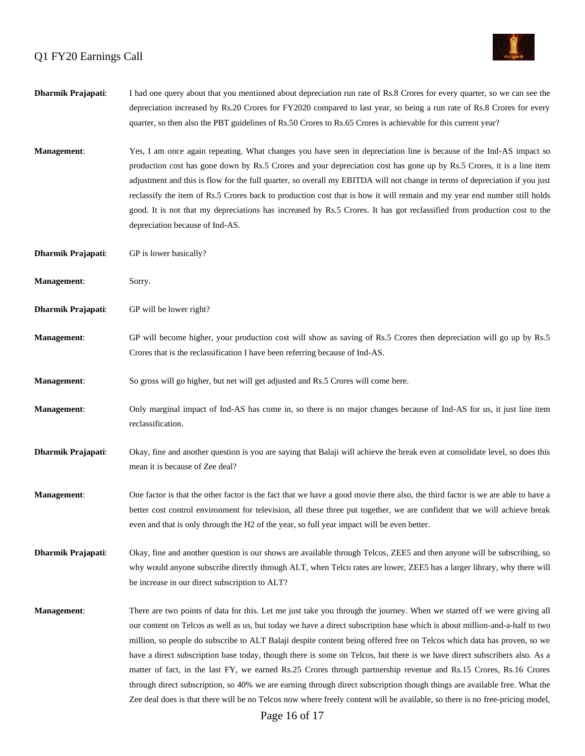

| Dharmik Prajapati:        | I had one query about that you mentioned about depreciation run rate of Rs.8 Crores for every quarter, so we can see the<br>depreciation increased by Rs.20 Crores for FY2020 compared to last year, so being a run rate of Rs.8 Crores for every<br>quarter, so then also the PBT guidelines of Rs.50 Crores to Rs.65 Crores is achievable for this current year?                                                                                                                                                                                                                                                                                                                                                                                                                                                                                                                              |
|---------------------------|-------------------------------------------------------------------------------------------------------------------------------------------------------------------------------------------------------------------------------------------------------------------------------------------------------------------------------------------------------------------------------------------------------------------------------------------------------------------------------------------------------------------------------------------------------------------------------------------------------------------------------------------------------------------------------------------------------------------------------------------------------------------------------------------------------------------------------------------------------------------------------------------------|
| <b>Management:</b>        | Yes, I am once again repeating. What changes you have seen in depreciation line is because of the Ind-AS impact so<br>production cost has gone down by Rs.5 Crores and your depreciation cost has gone up by Rs.5 Crores, it is a line item<br>adjustment and this is flow for the full quarter, so overall my EBITDA will not change in terms of depreciation if you just<br>reclassify the item of Rs.5 Crores back to production cost that is how it will remain and my year end number still holds<br>good. It is not that my depreciations has increased by Rs.5 Crores. It has got reclassified from production cost to the<br>depreciation because of Ind-AS.                                                                                                                                                                                                                            |
| <b>Dharmik Prajapati:</b> | GP is lower basically?                                                                                                                                                                                                                                                                                                                                                                                                                                                                                                                                                                                                                                                                                                                                                                                                                                                                          |
| Management:               | Sorry.                                                                                                                                                                                                                                                                                                                                                                                                                                                                                                                                                                                                                                                                                                                                                                                                                                                                                          |
| <b>Dharmik Prajapati:</b> | GP will be lower right?                                                                                                                                                                                                                                                                                                                                                                                                                                                                                                                                                                                                                                                                                                                                                                                                                                                                         |
| Management:               | GP will become higher, your production cost will show as saving of Rs.5 Crores then depreciation will go up by Rs.5<br>Crores that is the reclassification I have been referring because of Ind-AS.                                                                                                                                                                                                                                                                                                                                                                                                                                                                                                                                                                                                                                                                                             |
| Management:               | So gross will go higher, but net will get adjusted and Rs.5 Crores will come here.                                                                                                                                                                                                                                                                                                                                                                                                                                                                                                                                                                                                                                                                                                                                                                                                              |
| <b>Management:</b>        | Only marginal impact of Ind-AS has come in, so there is no major changes because of Ind-AS for us, it just line item<br>reclassification.                                                                                                                                                                                                                                                                                                                                                                                                                                                                                                                                                                                                                                                                                                                                                       |
| Dharmik Prajapati:        | Okay, fine and another question is you are saying that Balaji will achieve the break even at consolidate level, so does this<br>mean it is because of Zee deal?                                                                                                                                                                                                                                                                                                                                                                                                                                                                                                                                                                                                                                                                                                                                 |
| <b>Management:</b>        | One factor is that the other factor is the fact that we have a good movie there also, the third factor is we are able to have a<br>better cost control environment for television, all these three put together, we are confident that we will achieve break<br>even and that is only through the H2 of the year, so full year impact will be even better.                                                                                                                                                                                                                                                                                                                                                                                                                                                                                                                                      |
| Dharmik Prajapati:        | Okay, fine and another question is our shows are available through Telcos, ZEE5 and then anyone will be subscribing, so<br>why would anyone subscribe directly through ALT, when Telco rates are lower, ZEE5 has a larger library, why there will<br>be increase in our direct subscription to ALT?                                                                                                                                                                                                                                                                                                                                                                                                                                                                                                                                                                                             |
| <b>Management:</b>        | There are two points of data for this. Let me just take you through the journey. When we started off we were giving all<br>our content on Telcos as well as us, but today we have a direct subscription base which is about million-and-a-half to two<br>million, so people do subscribe to ALT Balaji despite content being offered free on Telcos which data has proven, so we<br>have a direct subscription base today, though there is some on Telcos, but there is we have direct subscribers also. As a<br>matter of fact, in the last FY, we earned Rs.25 Crores through partnership revenue and Rs.15 Crores, Rs.16 Crores<br>through direct subscription, so 40% we are earning through direct subscription though things are available free. What the<br>Zee deal does is that there will be no Telcos now where freely content will be available, so there is no free-pricing model, |